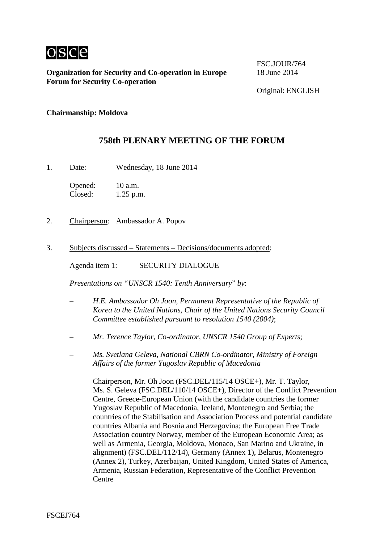

FSC.JOUR/764

#### **Chairmanship: Moldova**

# **758th PLENARY MEETING OF THE FORUM**

1. Date: Wednesday, 18 June 2014

Opened: 10 a.m.<br>Closed: 1.25 p.r  $1.25$  p.m.

- 2. Chairperson: Ambassador A. Popov
- 3. Subjects discussed Statements Decisions/documents adopted:

Agenda item 1: SECURITY DIALOGUE

*Presentations on "UNSCR 1540: Tenth Anniversary*" *by*:

- *H.E. Ambassador Oh Joon, Permanent Representative of the Republic of Korea to the United Nations, Chair of the United Nations Security Council Committee established pursuant to resolution 1540 (2004)*;
- *Mr. Terence Taylor, Co-ordinator, UNSCR 1540 Group of Experts*;
- *Ms. Svetlana Geleva, National CBRN Co-ordinator, Ministry of Foreign Affairs of the former Yugoslav Republic of Macedonia*

Chairperson, Mr. Oh Joon (FSC.DEL/115/14 OSCE+), Mr. T. Taylor, Ms. S. Geleva (FSC.DEL/110/14 OSCE+), Director of the Conflict Prevention Centre, Greece-European Union (with the candidate countries the former Yugoslav Republic of Macedonia, Iceland, Montenegro and Serbia; the countries of the Stabilisation and Association Process and potential candidate countries Albania and Bosnia and Herzegovina; the European Free Trade Association country Norway, member of the European Economic Area; as well as Armenia, Georgia, Moldova, Monaco, San Marino and Ukraine, in alignment) (FSC.DEL/112/14), Germany (Annex 1), Belarus, Montenegro (Annex 2), Turkey, Azerbaijan, United Kingdom, United States of America, Armenia, Russian Federation, Representative of the Conflict Prevention **Centre**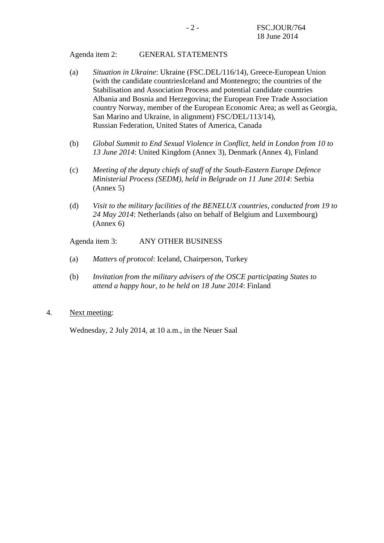#### Agenda item 2: GENERAL STATEMENTS

- (a) *Situation in Ukraine*: Ukraine (FSC.DEL/116/14), Greece-European Union (with the candidate countriesIceland and Montenegro; the countries of the Stabilisation and Association Process and potential candidate countries Albania and Bosnia and Herzegovina; the European Free Trade Association country Norway, member of the European Economic Area; as well as Georgia, San Marino and Ukraine, in alignment) FSC/DEL/113/14), Russian Federation, United States of America, Canada
- (b) *Global Summit to End Sexual Violence in Conflict, held in London from 10 to 13 June 2014*: United Kingdom (Annex 3), Denmark (Annex 4), Finland
- (c) *Meeting of the deputy chiefs of staff of the South-Eastern Europe Defence Ministerial Process (SEDM), held in Belgrade on 11 June 2014*: Serbia (Annex 5)
- (d) *Visit to the military facilities of the BENELUX countries, conducted from 19 to 24 May 2014*: Netherlands (also on behalf of Belgium and Luxembourg) (Annex 6)

Agenda item 3: ANY OTHER BUSINESS

- (a) *Matters of protocol*: Iceland, Chairperson, Turkey
- (b) *Invitation from the military advisers of the OSCE participating States to attend a happy hour, to be held on 18 June 2014*: Finland
- 4. Next meeting:

Wednesday, 2 July 2014, at 10 a.m., in the Neuer Saal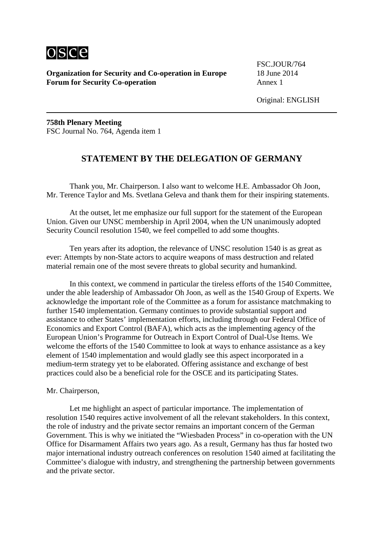

FSC.JOUR/764

**758th Plenary Meeting** FSC Journal No. 764, Agenda item 1

## **STATEMENT BY THE DELEGATION OF GERMANY**

Thank you, Mr. Chairperson. I also want to welcome H.E. Ambassador Oh Joon, Mr. Terence Taylor and Ms. Svetlana Geleva and thank them for their inspiring statements.

At the outset, let me emphasize our full support for the statement of the European Union. Given our UNSC membership in April 2004, when the UN unanimously adopted Security Council resolution 1540, we feel compelled to add some thoughts.

Ten years after its adoption, the relevance of UNSC resolution 1540 is as great as ever: Attempts by non-State actors to acquire weapons of mass destruction and related material remain one of the most severe threats to global security and humankind.

In this context, we commend in particular the tireless efforts of the 1540 Committee, under the able leadership of Ambassador Oh Joon, as well as the 1540 Group of Experts. We acknowledge the important role of the Committee as a forum for assistance matchmaking to further 1540 implementation. Germany continues to provide substantial support and assistance to other States' implementation efforts, including through our Federal Office of Economics and Export Control (BAFA), which acts as the implementing agency of the European Union's Programme for Outreach in Export Control of Dual-Use Items. We welcome the efforts of the 1540 Committee to look at ways to enhance assistance as a key element of 1540 implementation and would gladly see this aspect incorporated in a medium-term strategy yet to be elaborated. Offering assistance and exchange of best practices could also be a beneficial role for the OSCE and its participating States.

Mr. Chairperson,

Let me highlight an aspect of particular importance. The implementation of resolution 1540 requires active involvement of all the relevant stakeholders. In this context, the role of industry and the private sector remains an important concern of the German Government. This is why we initiated the "Wiesbaden Process" in co-operation with the UN Office for Disarmament Affairs two years ago. As a result, Germany has thus far hosted two major international industry outreach conferences on resolution 1540 aimed at facilitating the Committee's dialogue with industry, and strengthening the partnership between governments and the private sector.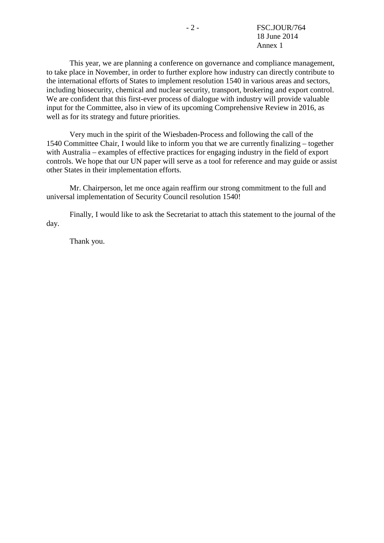This year, we are planning a conference on governance and compliance management, to take place in November, in order to further explore how industry can directly contribute to the international efforts of States to implement resolution 1540 in various areas and sectors, including biosecurity, chemical and nuclear security, transport, brokering and export control. We are confident that this first-ever process of dialogue with industry will provide valuable input for the Committee, also in view of its upcoming Comprehensive Review in 2016, as well as for its strategy and future priorities.

Very much in the spirit of the Wiesbaden-Process and following the call of the 1540 Committee Chair, I would like to inform you that we are currently finalizing – together with Australia – examples of effective practices for engaging industry in the field of export controls. We hope that our UN paper will serve as a tool for reference and may guide or assist other States in their implementation efforts.

Mr. Chairperson, let me once again reaffirm our strong commitment to the full and universal implementation of Security Council resolution 1540!

Finally, I would like to ask the Secretariat to attach this statement to the journal of the day.

Thank you.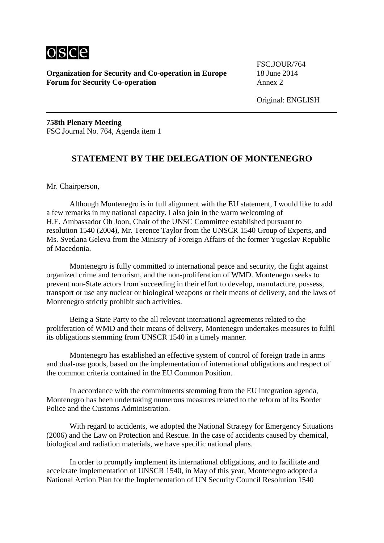

FSC.JOUR/764

**758th Plenary Meeting** FSC Journal No. 764, Agenda item 1

## **STATEMENT BY THE DELEGATION OF MONTENEGRO**

Mr. Chairperson,

Although Montenegro is in full alignment with the EU statement, I would like to add a few remarks in my national capacity. I also join in the warm welcoming of H.E. Ambassador Oh Joon, Chair of the UNSC Committee established pursuant to resolution 1540 (2004), Mr. Terence Taylor from the UNSCR 1540 Group of Experts, and Ms. Svetlana Geleva from the Ministry of Foreign Affairs of the former Yugoslav Republic of Macedonia.

Montenegro is fully committed to international peace and security, the fight against organized crime and terrorism, and the non-proliferation of WMD. Montenegro seeks to prevent non-State actors from succeeding in their effort to develop, manufacture, possess, transport or use any nuclear or biological weapons or their means of delivery, and the laws of Montenegro strictly prohibit such activities.

Being a State Party to the all relevant international agreements related to the proliferation of WMD and their means of delivery, Montenegro undertakes measures to fulfil its obligations stemming from UNSCR 1540 in a timely manner.

Montenegro has established an effective system of control of foreign trade in arms and dual-use goods, based on the implementation of international obligations and respect of the common criteria contained in the EU Common Position.

In accordance with the commitments stemming from the EU integration agenda, Montenegro has been undertaking numerous measures related to the reform of its Border Police and the Customs Administration.

With regard to accidents, we adopted the National Strategy for Emergency Situations (2006) and the Law on Protection and Rescue. In the case of accidents caused by chemical, biological and radiation materials, we have specific national plans.

In order to promptly implement its international obligations, and to facilitate and accelerate implementation of UNSCR 1540, in May of this year, Montenegro adopted a National Action Plan for the Implementation of UN Security Council Resolution 1540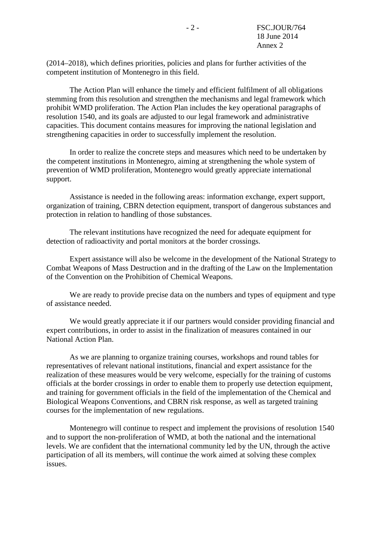(2014–2018), which defines priorities, policies and plans for further activities of the competent institution of Montenegro in this field.

The Action Plan will enhance the timely and efficient fulfilment of all obligations stemming from this resolution and strengthen the mechanisms and legal framework which prohibit WMD proliferation. The Action Plan includes the key operational paragraphs of resolution 1540, and its goals are adjusted to our legal framework and administrative capacities. This document contains measures for improving the national legislation and strengthening capacities in order to successfully implement the resolution.

In order to realize the concrete steps and measures which need to be undertaken by the competent institutions in Montenegro, aiming at strengthening the whole system of prevention of WMD proliferation, Montenegro would greatly appreciate international support.

Assistance is needed in the following areas: information exchange, expert support, organization of training, CBRN detection equipment, transport of dangerous substances and protection in relation to handling of those substances.

The relevant institutions have recognized the need for adequate equipment for detection of radioactivity and portal monitors at the border crossings.

Expert assistance will also be welcome in the development of the National Strategy to Combat Weapons of Mass Destruction and in the drafting of the Law on the Implementation of the Convention on the Prohibition of Chemical Weapons.

We are ready to provide precise data on the numbers and types of equipment and type of assistance needed.

We would greatly appreciate it if our partners would consider providing financial and expert contributions, in order to assist in the finalization of measures contained in our National Action Plan.

As we are planning to organize training courses, workshops and round tables for representatives of relevant national institutions, financial and expert assistance for the realization of these measures would be very welcome, especially for the training of customs officials at the border crossings in order to enable them to properly use detection equipment, and training for government officials in the field of the implementation of the Chemical and Biological Weapons Conventions, and CBRN risk response, as well as targeted training courses for the implementation of new regulations.

Montenegro will continue to respect and implement the provisions of resolution 1540 and to support the non-proliferation of WMD, at both the national and the international levels. We are confident that the international community led by the UN, through the active participation of all its members, will continue the work aimed at solving these complex issues.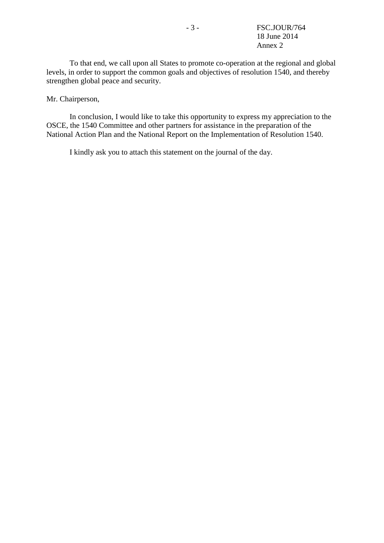To that end, we call upon all States to promote co-operation at the regional and global levels, in order to support the common goals and objectives of resolution 1540, and thereby strengthen global peace and security.

Mr. Chairperson,

In conclusion, I would like to take this opportunity to express my appreciation to the OSCE, the 1540 Committee and other partners for assistance in the preparation of the National Action Plan and the National Report on the Implementation of Resolution 1540.

I kindly ask you to attach this statement on the journal of the day.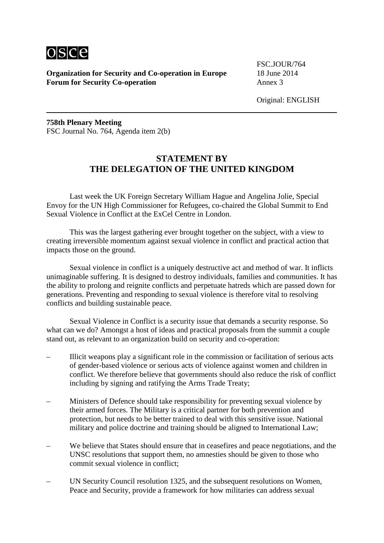

FSC.JOUR/764

Original: ENGLISH

**758th Plenary Meeting** FSC Journal No. 764, Agenda item 2(b)

# **STATEMENT BY THE DELEGATION OF THE UNITED KINGDOM**

Last week the UK Foreign Secretary William Hague and Angelina Jolie, Special Envoy for the UN High Commissioner for Refugees, co-chaired the Global Summit to End Sexual Violence in Conflict at the ExCel Centre in London.

This was the largest gathering ever brought together on the subject, with a view to creating irreversible momentum against sexual violence in conflict and practical action that impacts those on the ground.

Sexual violence in conflict is a uniquely destructive act and method of war. It inflicts unimaginable suffering. It is designed to destroy individuals, families and communities. It has the ability to prolong and reignite conflicts and perpetuate hatreds which are passed down for generations. Preventing and responding to sexual violence is therefore vital to resolving conflicts and building sustainable peace.

Sexual Violence in Conflict is a security issue that demands a security response. So what can we do? Amongst a host of ideas and practical proposals from the summit a couple stand out, as relevant to an organization build on security and co-operation:

- Illicit weapons play a significant role in the commission or facilitation of serious acts of gender-based violence or serious acts of violence against women and children in conflict. We therefore believe that governments should also reduce the risk of conflict including by signing and ratifying the Arms Trade Treaty;
- Ministers of Defence should take responsibility for preventing sexual violence by their armed forces. The Military is a critical partner for both prevention and protection, but needs to be better trained to deal with this sensitive issue. National military and police doctrine and training should be aligned to International Law;
- We believe that States should ensure that in ceasefires and peace negotiations, and the UNSC resolutions that support them, no amnesties should be given to those who commit sexual violence in conflict;
- UN Security Council resolution 1325, and the subsequent resolutions on Women, Peace and Security, provide a framework for how militaries can address sexual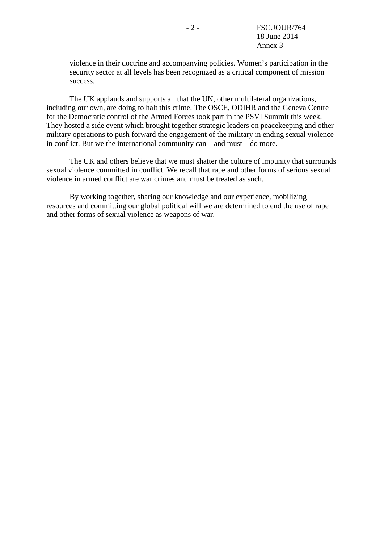violence in their doctrine and accompanying policies. Women's participation in the security sector at all levels has been recognized as a critical component of mission success.

The UK applauds and supports all that the UN, other multilateral organizations, including our own, are doing to halt this crime. The OSCE, ODIHR and the Geneva Centre for the Democratic control of the Armed Forces took part in the PSVI Summit this week. They hosted a side event which brought together strategic leaders on peacekeeping and other military operations to push forward the engagement of the military in ending sexual violence in conflict. But we the international community can – and must – do more.

The UK and others believe that we must shatter the culture of impunity that surrounds sexual violence committed in conflict. We recall that rape and other forms of serious sexual violence in armed conflict are war crimes and must be treated as such.

By working together, sharing our knowledge and our experience, mobilizing resources and committing our global political will we are determined to end the use of rape and other forms of sexual violence as weapons of war.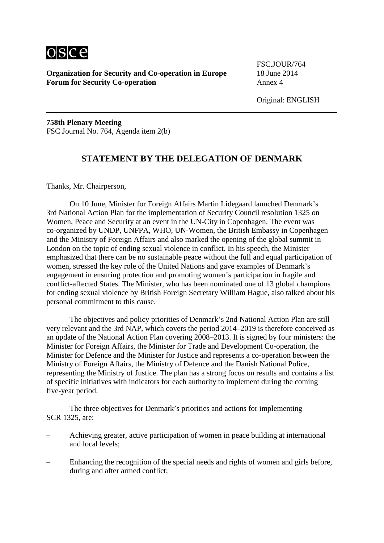

FSC.JOUR/764

**758th Plenary Meeting** FSC Journal No. 764, Agenda item 2(b)

#### **STATEMENT BY THE DELEGATION OF DENMARK**

Thanks, Mr. Chairperson,

On 10 June, Minister for Foreign Affairs Martin Lidegaard launched Denmark's 3rd National Action Plan for the implementation of Security Council resolution 1325 on Women, Peace and Security at an event in the UN-City in Copenhagen. The event was co-organized by UNDP, UNFPA, WHO, UN-Women, the British Embassy in Copenhagen and the Ministry of Foreign Affairs and also marked the opening of the global summit in London on the topic of ending sexual violence in conflict. In his speech, the Minister emphasized that there can be no sustainable peace without the full and equal participation of women, stressed the key role of the United Nations and gave examples of Denmark's engagement in ensuring protection and promoting women's participation in fragile and conflict-affected States. The Minister, who has been nominated one of 13 global champions for ending sexual violence by British Foreign Secretary William Hague, also talked about his personal commitment to this cause.

The objectives and policy priorities of Denmark's 2nd National Action Plan are still very relevant and the 3rd NAP, which covers the period 2014–2019 is therefore conceived as an update of the National Action Plan covering 2008–2013. It is signed by four ministers: the Minister for Foreign Affairs, the Minister for Trade and Development Co-operation, the Minister for Defence and the Minister for Justice and represents a co-operation between the Ministry of Foreign Affairs, the Ministry of Defence and the Danish National Police, representing the Ministry of Justice. The plan has a strong focus on results and contains a list of specific initiatives with indicators for each authority to implement during the coming five-year period.

The three objectives for Denmark's priorities and actions for implementing SCR 1325, are:

- Achieving greater, active participation of women in peace building at international and local levels;
- Enhancing the recognition of the special needs and rights of women and girls before, during and after armed conflict;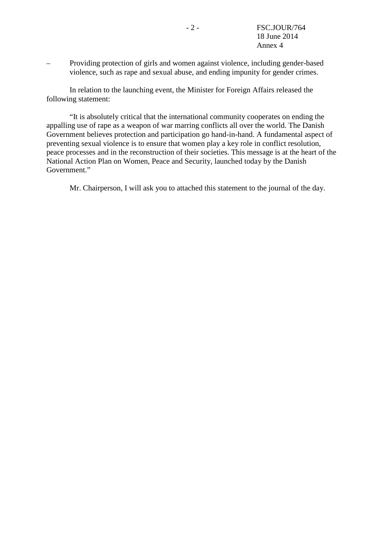– Providing protection of girls and women against violence, including gender-based violence, such as rape and sexual abuse, and ending impunity for gender crimes.

In relation to the launching event, the Minister for Foreign Affairs released the following statement:

"It is absolutely critical that the international community cooperates on ending the appalling use of rape as a weapon of war marring conflicts all over the world. The Danish Government believes protection and participation go hand-in-hand. A fundamental aspect of preventing sexual violence is to ensure that women play a key role in conflict resolution, peace processes and in the reconstruction of their societies. This message is at the heart of the National Action Plan on Women, Peace and Security, launched today by the Danish Government."

Mr. Chairperson, I will ask you to attached this statement to the journal of the day.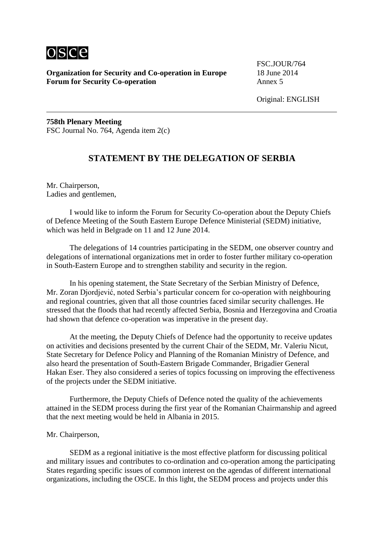

FSC.JOUR/764

Original: ENGLISH

**758th Plenary Meeting** FSC Journal No. 764, Agenda item 2(c)

#### **STATEMENT BY THE DELEGATION OF SERBIA**

Mr. Chairperson, Ladies and gentlemen,

I would like to inform the Forum for Security Co-operation about the Deputy Chiefs of Defence Meeting of the South Eastern Europe Defence Ministerial (SEDM) initiative, which was held in Belgrade on 11 and 12 June 2014.

The delegations of 14 countries participating in the SEDM, one observer country and delegations of international organizations met in order to foster further military co-operation in South-Eastern Europe and to strengthen stability and security in the region.

In his opening statement, the State Secretary of the Serbian Ministry of Defence, Mr. Zoran Djordjević, noted Serbia's particular concern for co-operation with neighbouring and regional countries, given that all those countries faced similar security challenges. He stressed that the floods that had recently affected Serbia, Bosnia and Herzegovina and Croatia had shown that defence co-operation was imperative in the present day.

At the meeting, the Deputy Chiefs of Defence had the opportunity to receive updates on activities and decisions presented by the current Chair of the SEDM, Mr. Valeriu Nicut, State Secretary for Defence Policy and Planning of the Romanian Ministry of Defence, and also heard the presentation of South-Eastern Brigade Commander, Brigadier General Hakan Eser. They also considered a series of topics focussing on improving the effectiveness of the projects under the SEDM initiative.

Furthermore, the Deputy Chiefs of Defence noted the quality of the achievements attained in the SEDM process during the first year of the Romanian Chairmanship and agreed that the next meeting would be held in Albania in 2015.

#### Mr. Chairperson,

SEDM as a regional initiative is the most effective platform for discussing political and military issues and contributes to co-ordination and co-operation among the participating States regarding specific issues of common interest on the agendas of different international organizations, including the OSCE. In this light, the SEDM process and projects under this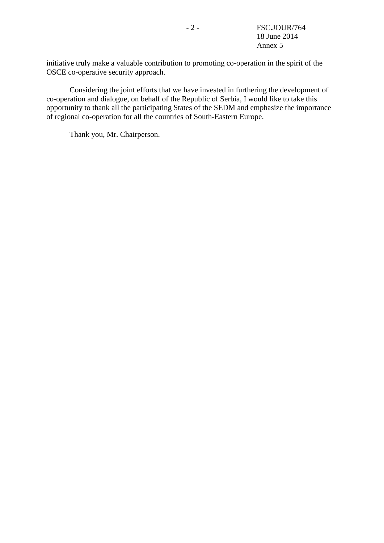initiative truly make a valuable contribution to promoting co-operation in the spirit of the OSCE co-operative security approach.

Considering the joint efforts that we have invested in furthering the development of co-operation and dialogue, on behalf of the Republic of Serbia, I would like to take this opportunity to thank all the participating States of the SEDM and emphasize the importance of regional co-operation for all the countries of South-Eastern Europe.

Thank you, Mr. Chairperson.